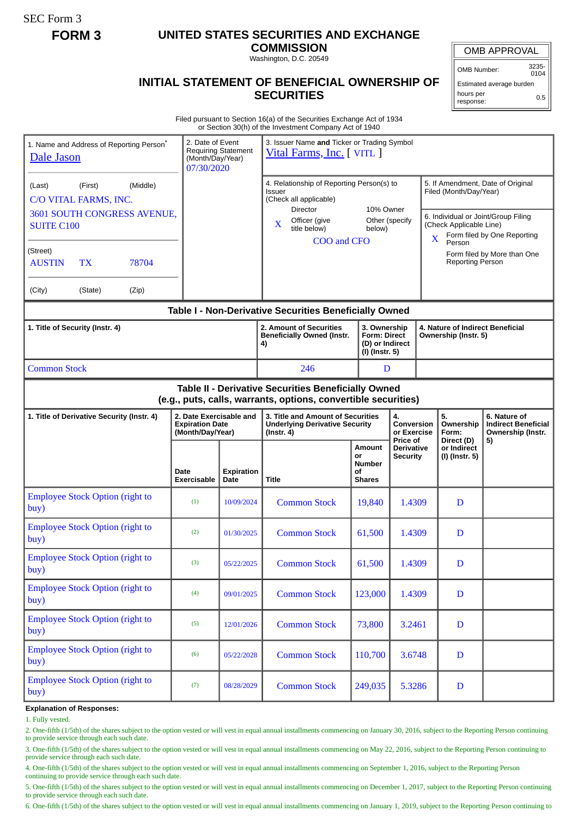SEC Form 3

## **FORM 3 UNITED STATES SECURITIES AND EXCHANGE**

**COMMISSION** Washington, D.C. 20549

**INITIAL STATEMENT OF BENEFICIAL OWNERSHIP OF SECURITIES**

OMB APPROVAL

OMB Number: 3235-  $0104$ 

Estimated average burden hours per 0.5

## response:

Filed pursuant to Section 16(a) of the Securities Exchange Act of 1934 or Section 30(h) of the Investment Company Act of 1940

| 1. Name and Address of Reporting Person <sup>®</sup><br>Dale Jason                                                                                                                          |                                        |  | 2. Date of Event<br>(Month/Day/Year)<br>07/30/2020                    | <b>Requiring Statement</b>                                                                                                                                                                     | 3. Issuer Name and Ticker or Trading Symbol<br>Vital Farms, Inc. [VITL ]                 |                                                             |                                                                                                                                                                                                                                       |                                             |                                                                 |
|---------------------------------------------------------------------------------------------------------------------------------------------------------------------------------------------|----------------------------------------|--|-----------------------------------------------------------------------|------------------------------------------------------------------------------------------------------------------------------------------------------------------------------------------------|------------------------------------------------------------------------------------------|-------------------------------------------------------------|---------------------------------------------------------------------------------------------------------------------------------------------------------------------------------------------------------------------------------------|---------------------------------------------|-----------------------------------------------------------------|
| (First)<br>(Middle)<br>(Last)<br>C/O VITAL FARMS, INC.<br>3601 SOUTH CONGRESS AVENUE,<br><b>SUITE C100</b><br>(Street)<br>78704<br><b>AUSTIN</b><br><b>TX</b><br>(City)<br>(State)<br>(Zip) |                                        |  |                                                                       | 4. Relationship of Reporting Person(s) to<br>Issuer<br>(Check all applicable)<br><b>Director</b><br>10% Owner<br>Officer (give<br>Other (specify<br>X<br>title below)<br>below)<br>COO and CFO |                                                                                          |                                                             | 5. If Amendment, Date of Original<br>Filed (Month/Day/Year)<br>6. Individual or Joint/Group Filing<br>(Check Applicable Line)<br>Form filed by One Reporting<br>X<br>Person<br>Form filed by More than One<br><b>Reporting Person</b> |                                             |                                                                 |
| Table I - Non-Derivative Securities Beneficially Owned                                                                                                                                      |                                        |  |                                                                       |                                                                                                                                                                                                |                                                                                          |                                                             |                                                                                                                                                                                                                                       |                                             |                                                                 |
| 1. Title of Security (Instr. 4)                                                                                                                                                             |                                        |  |                                                                       | 2. Amount of Securities<br><b>Beneficially Owned (Instr.</b><br>4)                                                                                                                             | 3. Ownership<br><b>Form: Direct</b><br>(D) or Indirect<br>(I) (Instr. 5)                 |                                                             | Ownership (Instr. 5)                                                                                                                                                                                                                  | 4. Nature of Indirect Beneficial            |                                                                 |
| <b>Common Stock</b>                                                                                                                                                                         |                                        |  |                                                                       | 246                                                                                                                                                                                            |                                                                                          | D                                                           |                                                                                                                                                                                                                                       |                                             |                                                                 |
| Table II - Derivative Securities Beneficially Owned<br>(e.g., puts, calls, warrants, options, convertible securities)                                                                       |                                        |  |                                                                       |                                                                                                                                                                                                |                                                                                          |                                                             |                                                                                                                                                                                                                                       |                                             |                                                                 |
| 1. Title of Derivative Security (Instr. 4)                                                                                                                                                  |                                        |  | 2. Date Exercisable and<br><b>Expiration Date</b><br>(Month/Day/Year) |                                                                                                                                                                                                | 3. Title and Amount of Securities<br><b>Underlying Derivative Security</b><br>(Instr. 4) |                                                             | 4.<br><b>Conversion</b><br>or Exercise<br>Price of                                                                                                                                                                                    | 5.<br>Ownership<br>Form:                    | 6. Nature of<br><b>Indirect Beneficial</b><br>Ownership (Instr. |
|                                                                                                                                                                                             |                                        |  | Date<br>Exercisable                                                   | <b>Expiration</b><br>Date                                                                                                                                                                      | Title                                                                                    | <b>Amount</b><br>or<br><b>Number</b><br>οf<br><b>Shares</b> | <b>Derivative</b><br><b>Security</b>                                                                                                                                                                                                  | Direct (D)<br>or Indirect<br>(I) (Instr. 5) | 5)                                                              |
| <b>Employee Stock Option (right to</b><br>buy)                                                                                                                                              |                                        |  | (1)                                                                   | 10/09/2024                                                                                                                                                                                     | <b>Common Stock</b>                                                                      | 19,840                                                      | 1.4309                                                                                                                                                                                                                                | D                                           |                                                                 |
| <b>Employee Stock Option (right to</b><br>buy)                                                                                                                                              |                                        |  | (2)                                                                   | 01/30/2025                                                                                                                                                                                     | <b>Common Stock</b>                                                                      | 61,500                                                      | 1.4309                                                                                                                                                                                                                                | D                                           |                                                                 |
| <b>Employee Stock Option (right to</b><br>buy)                                                                                                                                              |                                        |  | (3)                                                                   | 05/22/2025                                                                                                                                                                                     | <b>Common Stock</b>                                                                      | 61,500                                                      | 1.4309                                                                                                                                                                                                                                | D                                           |                                                                 |
| buy)                                                                                                                                                                                        | <b>Employee Stock Option (right to</b> |  | (4)                                                                   | 09/01/2025                                                                                                                                                                                     | <b>Common Stock</b>                                                                      | 123,000                                                     | 1.4309                                                                                                                                                                                                                                | $\mathbf D$                                 |                                                                 |
| <b>Employee Stock Option (right to</b><br>buy)                                                                                                                                              |                                        |  | (5)                                                                   | 12/01/2026                                                                                                                                                                                     | <b>Common Stock</b>                                                                      | 73,800                                                      | 3.2461                                                                                                                                                                                                                                | D                                           |                                                                 |
| <b>Employee Stock Option (right to</b><br>buy)                                                                                                                                              |                                        |  | (6)                                                                   | 05/22/2028                                                                                                                                                                                     | <b>Common Stock</b>                                                                      | 110,700                                                     | 3.6748                                                                                                                                                                                                                                | $\mathbf D$                                 |                                                                 |
| buy)                                                                                                                                                                                        | <b>Employee Stock Option (right to</b> |  | (7)                                                                   | 08/28/2029                                                                                                                                                                                     | <b>Common Stock</b>                                                                      | 249,035                                                     | 5.3286                                                                                                                                                                                                                                | $\mathbf D$                                 |                                                                 |

**Explanation of Responses:**

1. Fully vested.

2. One-fifth (1/5th) of the shares subject to the option vested or will vest in equal annual installments commencing on January 30, 2016, subject to the Reporting Person continuing to provide service through each such date.

3. One-fifth (1/5th) of the shares subject to the option vested or will vest in equal annual installments commencing on May 22, 2016, subject to the Reporting Person continuing to provide service through each such date.

4. One-fifth (1/5th) of the shares subject to the option vested or will vest in equal annual installments commencing on September 1, 2016, subject to the Reporting Person continuing to provide service through each such date.

5. One-fifth (1/5th) of the shares subject to the option vested or will vest in equal annual installments commencing on December 1, 2017, subject to the Reporting Person continuing to provide service through each such date.

6. One-fifth (1/5th) of the shares subject to the option vested or will vest in equal annual installments commencing on January 1, 2019, subject to the Reporting Person continuing to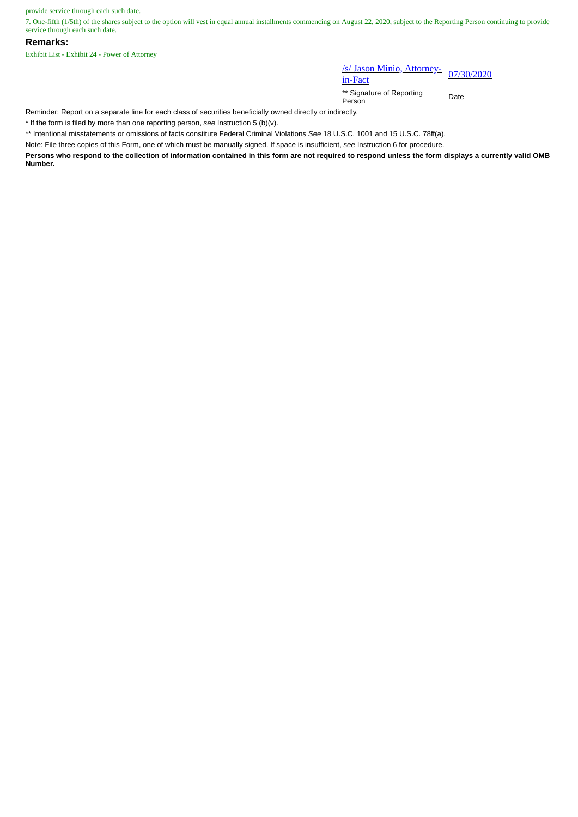provide service through each such date.

7. One-fifth (1/5th) of the shares subject to the option will vest in equal annual installments commencing on August 22, 2020, subject to the Reporting Person continuing to provide service through each such date.

## **Remarks:**

Exhibit List - Exhibit 24 - Power of Attorney

## /s/ Jason Minio, Attorney-<br>in-Fact

\*\* Signature of Reporting Person Date

Reminder: Report on a separate line for each class of securities beneficially owned directly or indirectly.

\* If the form is filed by more than one reporting person, *see* Instruction 5 (b)(v).

\*\* Intentional misstatements or omissions of facts constitute Federal Criminal Violations *See* 18 U.S.C. 1001 and 15 U.S.C. 78ff(a).

Note: File three copies of this Form, one of which must be manually signed. If space is insufficient, *see* Instruction 6 for procedure.

**Persons who respond to the collection of information contained in this form are not required to respond unless the form displays a currently valid OMB Number.**